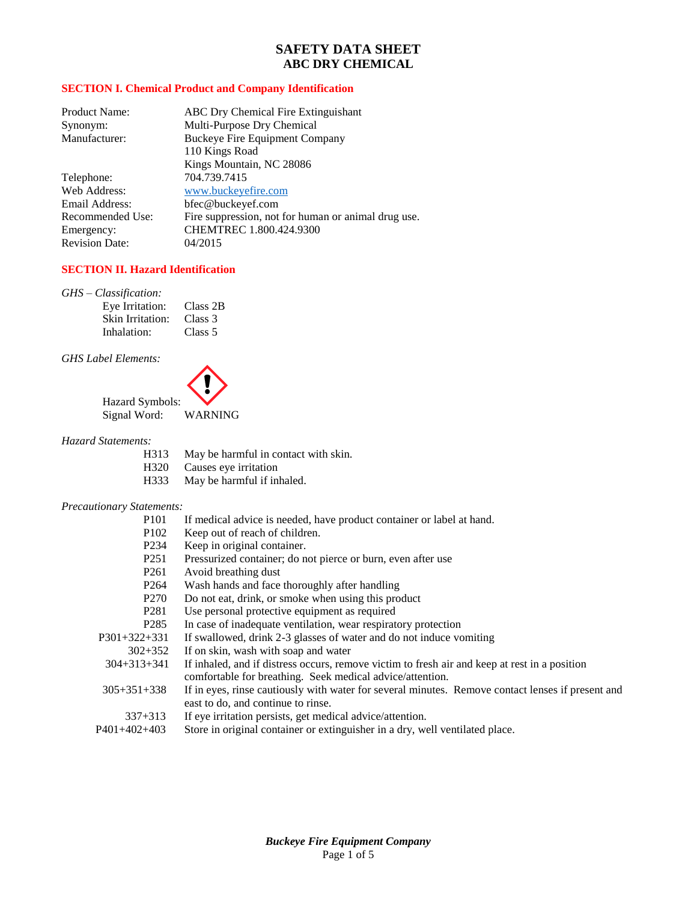#### **SECTION I. Chemical Product and Company Identification**

| Product Name:         | ABC Dry Chemical Fire Extinguishant                 |
|-----------------------|-----------------------------------------------------|
| Synonym:              | Multi-Purpose Dry Chemical                          |
| Manufacturer:         | <b>Buckeye Fire Equipment Company</b>               |
|                       | 110 Kings Road                                      |
|                       | Kings Mountain, NC 28086                            |
| Telephone:            | 704.739.7415                                        |
| Web Address:          | www.buckeyefire.com                                 |
| Email Address:        | bfec@buckeyef.com                                   |
| Recommended Use:      | Fire suppression, not for human or animal drug use. |
| Emergency:            | CHEMTREC 1.800.424.9300                             |
| <b>Revision Date:</b> | 04/2015                                             |

#### **SECTION II. Hazard Identification**

| $GHS - Classification:$ |          |
|-------------------------|----------|
| Eye Irritation:         | Class 2B |
| Skin Irritation:        | Class 3  |
| Inhalation:             | Class 5  |

*GHS Label Elements:*



#### *Hazard Statements:*

- H313 May be harmful in contact with skin.
- H320 Causes eye irritation
- H333 May be harmful if inhaled.

#### *Precautionary Statements:*

- P101 If medical advice is needed, have product container or label at hand.
- P102 Keep out of reach of children.<br>P234 Keep in original container.
- Keep in original container.
- P251 Pressurized container; do not pierce or burn, even after use
- P<sub>261</sub> Avoid breathing dust
- P264 Wash hands and face thoroughly after handling
- P270 Do not eat, drink, or smoke when using this product
- P281 Use personal protective equipment as required
- P285 In case of inadequate ventilation, wear respiratory protection
- P301+322+331 If swallowed, drink 2-3 glasses of water and do not induce vomiting
	- 302+352 If on skin, wash with soap and water
- 304+313+341 If inhaled, and if distress occurs, remove victim to fresh air and keep at rest in a position comfortable for breathing. Seek medical advice/attention.
- 305+351+338 If in eyes, rinse cautiously with water for several minutes. Remove contact lenses if present and east to do, and continue to rinse.
- 337+313 If eye irritation persists, get medical advice/attention.
- P401+402+403 Store in original container or extinguisher in a dry, well ventilated place.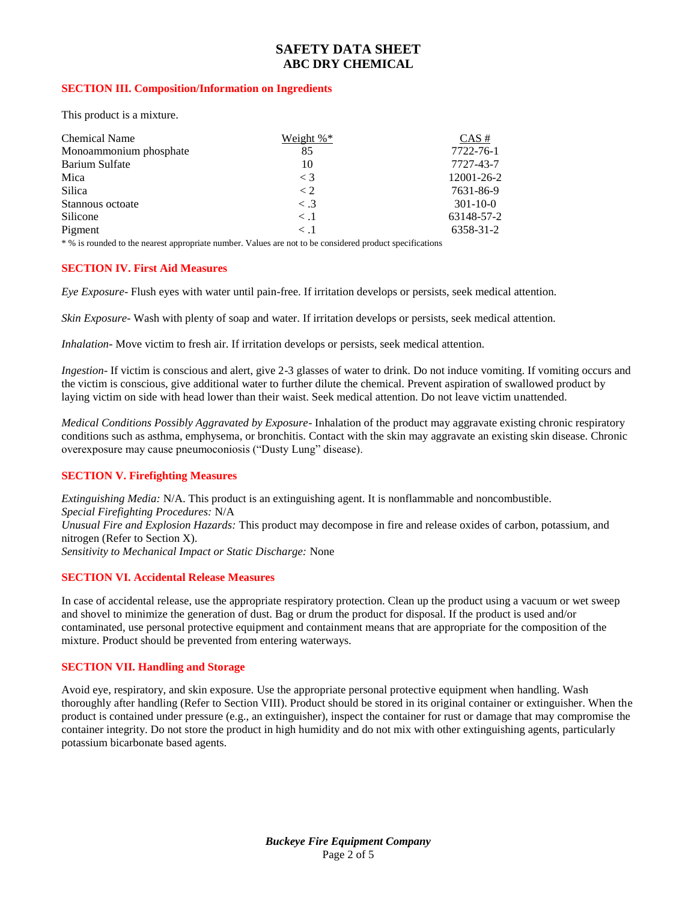#### **SECTION III. Composition/Information on Ingredients**

This product is a mixture.

| <b>Chemical Name</b>   | Weight $\%$ *        | $CAS \#$   |
|------------------------|----------------------|------------|
| Monoammonium phosphate | 85                   | 7722-76-1  |
| Barium Sulfate         | 10                   | 7727-43-7  |
| Mica                   | $\leq 3$             | 12001-26-2 |
| Silica                 | < 2                  | 7631-86-9  |
| Stannous octoate       | $\langle .3 \rangle$ | $301-10-0$ |
| Silicone               | $\lt.1$              | 63148-57-2 |
| Pigment                | $\lt.1$              | 6358-31-2  |

\* % is rounded to the nearest appropriate number. Values are not to be considered product specifications

#### **SECTION IV. First Aid Measures**

*Eye Exposure*- Flush eyes with water until pain-free. If irritation develops or persists, seek medical attention.

*Skin Exposure*- Wash with plenty of soap and water. If irritation develops or persists, seek medical attention.

*Inhalation*- Move victim to fresh air. If irritation develops or persists, seek medical attention.

*Ingestion*- If victim is conscious and alert, give 2-3 glasses of water to drink. Do not induce vomiting. If vomiting occurs and the victim is conscious, give additional water to further dilute the chemical. Prevent aspiration of swallowed product by laying victim on side with head lower than their waist. Seek medical attention. Do not leave victim unattended.

*Medical Conditions Possibly Aggravated by Exposure*- Inhalation of the product may aggravate existing chronic respiratory conditions such as asthma, emphysema, or bronchitis. Contact with the skin may aggravate an existing skin disease. Chronic overexposure may cause pneumoconiosis ("Dusty Lung" disease).

### **SECTION V. Firefighting Measures**

*Extinguishing Media:* N/A. This product is an extinguishing agent. It is nonflammable and noncombustible. *Special Firefighting Procedures:* N/A *Unusual Fire and Explosion Hazards:* This product may decompose in fire and release oxides of carbon, potassium, and nitrogen (Refer to Section X). *Sensitivity to Mechanical Impact or Static Discharge:* None

### **SECTION VI. Accidental Release Measures**

In case of accidental release, use the appropriate respiratory protection. Clean up the product using a vacuum or wet sweep and shovel to minimize the generation of dust. Bag or drum the product for disposal. If the product is used and/or contaminated, use personal protective equipment and containment means that are appropriate for the composition of the mixture. Product should be prevented from entering waterways.

### **SECTION VII. Handling and Storage**

Avoid eye, respiratory, and skin exposure. Use the appropriate personal protective equipment when handling. Wash thoroughly after handling (Refer to Section VIII). Product should be stored in its original container or extinguisher. When the product is contained under pressure (e.g., an extinguisher), inspect the container for rust or damage that may compromise the container integrity. Do not store the product in high humidity and do not mix with other extinguishing agents, particularly potassium bicarbonate based agents.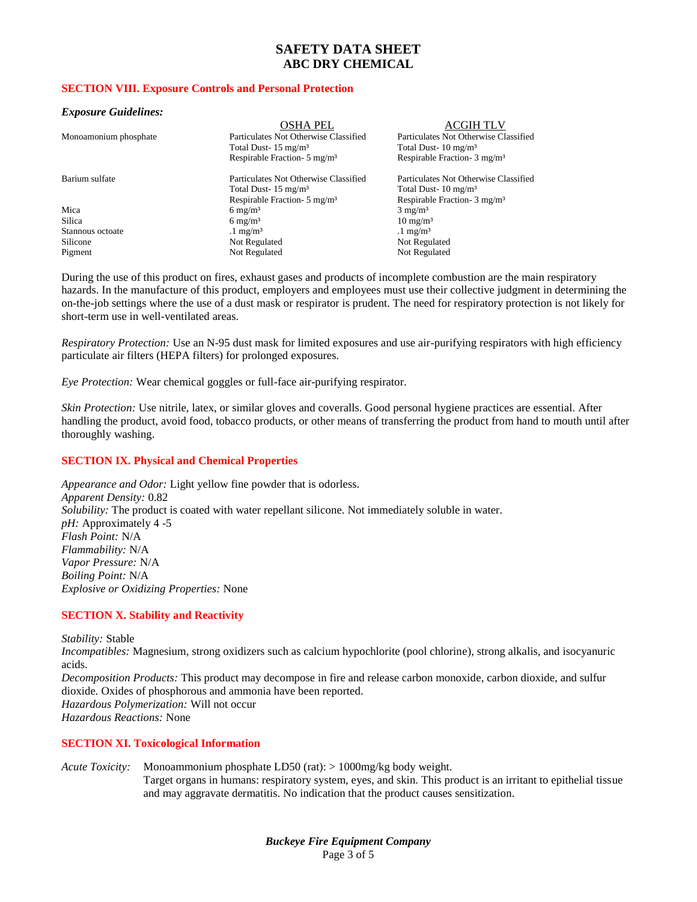#### **SECTION VIII. Exposure Controls and Personal Protection**

#### *Exposure Guidelines:*

|                       | <b>OSHA PEL</b>                         | ACGIH TLV                               |
|-----------------------|-----------------------------------------|-----------------------------------------|
| Monoamonium phosphate | Particulates Not Otherwise Classified   | Particulates Not Otherwise Classified   |
|                       | Total Dust- $15 \text{ mg/m}^3$         | Total Dust- $10 \text{ mg/m}^3$         |
|                       | Respirable Fraction- $5 \text{ mg/m}^3$ | Respirable Fraction- $3 \text{ mg/m}^3$ |
| Barium sulfate        | Particulates Not Otherwise Classified   | Particulates Not Otherwise Classified   |
|                       | Total Dust- $15 \text{ mg/m}^3$         | Total Dust- $10 \text{ mg/m}^3$         |
|                       | Respirable Fraction- $5 \text{ mg/m}^3$ | Respirable Fraction- $3 \text{ mg/m}^3$ |
| Mica                  | $6 \text{ mg/m}^3$                      | $3 \text{ mg/m}^3$                      |
| Silica                | $6 \text{ mg/m}^3$                      | $10 \text{ mg/m}^3$                     |
| Stannous octoate      | $1 \text{ mg/m}^3$                      | $1 \text{ mg/m}^3$                      |
| Silicone              | Not Regulated                           | Not Regulated                           |
| Pigment               | Not Regulated                           | Not Regulated                           |

During the use of this product on fires, exhaust gases and products of incomplete combustion are the main respiratory hazards. In the manufacture of this product, employers and employees must use their collective judgment in determining the on-the-job settings where the use of a dust mask or respirator is prudent. The need for respiratory protection is not likely for short-term use in well-ventilated areas.

*Respiratory Protection:* Use an N-95 dust mask for limited exposures and use air-purifying respirators with high efficiency particulate air filters (HEPA filters) for prolonged exposures.

*Eye Protection:* Wear chemical goggles or full-face air-purifying respirator.

*Skin Protection:* Use nitrile, latex, or similar gloves and coveralls. Good personal hygiene practices are essential. After handling the product, avoid food, tobacco products, or other means of transferring the product from hand to mouth until after thoroughly washing.

### **SECTION IX. Physical and Chemical Properties**

*Appearance and Odor:* Light yellow fine powder that is odorless. *Apparent Density:* 0.82 *Solubility:* The product is coated with water repellant silicone. Not immediately soluble in water. *pH:* Approximately 4 -5 *Flash Point:* N/A *Flammability:* N/A *Vapor Pressure:* N/A *Boiling Point:* N/A *Explosive or Oxidizing Properties:* None

### **SECTION X. Stability and Reactivity**

*Stability:* Stable

*Incompatibles:* Magnesium, strong oxidizers such as calcium hypochlorite (pool chlorine), strong alkalis, and isocyanuric acids. *Decomposition Products:* This product may decompose in fire and release carbon monoxide, carbon dioxide, and sulfur dioxide. Oxides of phosphorous and ammonia have been reported. *Hazardous Polymerization:* Will not occur *Hazardous Reactions:* None

### **SECTION XI. Toxicological Information**

*Acute Toxicity:* Monoammonium phosphate LD50 (rat): > 1000mg/kg body weight. Target organs in humans: respiratory system, eyes, and skin. This product is an irritant to epithelial tissue and may aggravate dermatitis. No indication that the product causes sensitization.

> *Buckeye Fire Equipment Company* Page 3 of 5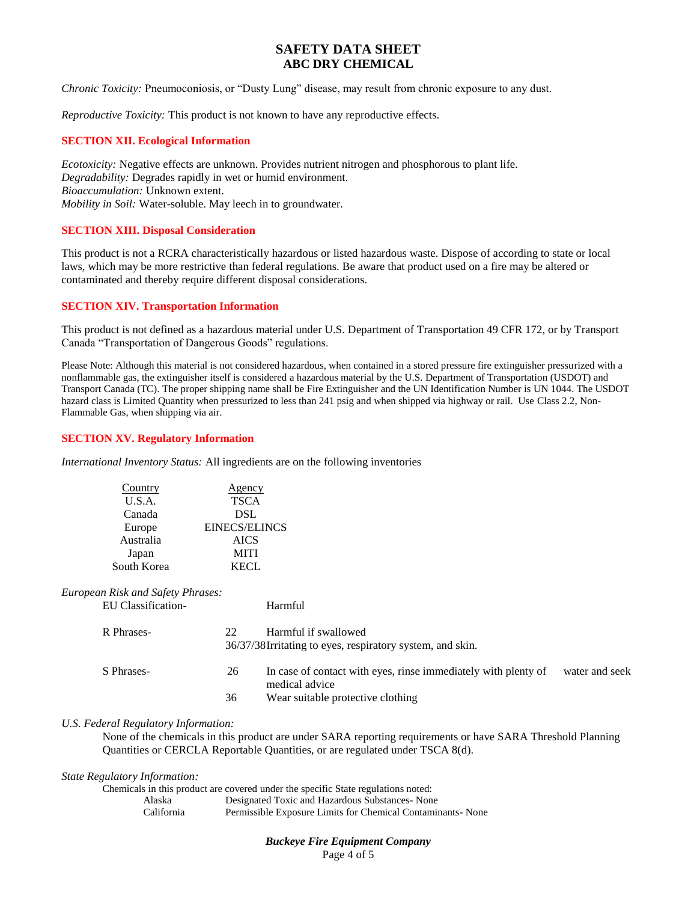*Chronic Toxicity:* Pneumoconiosis, or "Dusty Lung" disease, may result from chronic exposure to any dust.

*Reproductive Toxicity:* This product is not known to have any reproductive effects.

## **SECTION XII. Ecological Information**

*Ecotoxicity:* Negative effects are unknown. Provides nutrient nitrogen and phosphorous to plant life. *Degradability:* Degrades rapidly in wet or humid environment. *Bioaccumulation:* Unknown extent. *Mobility in Soil:* Water-soluble. May leech in to groundwater.

### **SECTION XIII. Disposal Consideration**

This product is not a RCRA characteristically hazardous or listed hazardous waste. Dispose of according to state or local laws, which may be more restrictive than federal regulations. Be aware that product used on a fire may be altered or contaminated and thereby require different disposal considerations.

### **SECTION XIV. Transportation Information**

This product is not defined as a hazardous material under U.S. Department of Transportation 49 CFR 172, or by Transport Canada "Transportation of Dangerous Goods" regulations.

Please Note: Although this material is not considered hazardous, when contained in a stored pressure fire extinguisher pressurized with a nonflammable gas, the extinguisher itself is considered a hazardous material by the U.S. Department of Transportation (USDOT) and Transport Canada (TC). The proper shipping name shall be Fire Extinguisher and the UN Identification Number is UN 1044. The USDOT hazard class is Limited Quantity when pressurized to less than 241 psig and when shipped via highway or rail. Use Class 2.2, Non-Flammable Gas, when shipping via air.

### **SECTION XV. Regulatory Information**

Country Agency

*International Inventory Status:* All ingredients are on the following inventories

|            | Counter                           | $A$ gciic $y$        |                                                                                  |                |
|------------|-----------------------------------|----------------------|----------------------------------------------------------------------------------|----------------|
|            | U.S.A.                            | <b>TSCA</b>          |                                                                                  |                |
|            | Canada                            | <b>DSL</b>           |                                                                                  |                |
|            | Europe                            | <b>EINECS/ELINCS</b> |                                                                                  |                |
|            | Australia                         | <b>AICS</b>          |                                                                                  |                |
|            | Japan                             | <b>MITI</b>          |                                                                                  |                |
|            | South Korea                       | <b>KECL</b>          |                                                                                  |                |
|            | European Risk and Safety Phrases: |                      |                                                                                  |                |
|            | <b>EU</b> Classification-         |                      | Harmful                                                                          |                |
| R Phrases- |                                   | 22                   | Harmful if swallowed                                                             |                |
|            |                                   |                      | 36/37/38Irritating to eyes, respiratory system, and skin.                        |                |
| S Phrases- |                                   | 26                   | In case of contact with eyes, rinse immediately with plenty of<br>medical advice | water and seek |
|            |                                   | 36                   | Wear suitable protective clothing                                                |                |
|            |                                   |                      |                                                                                  |                |

### *U.S. Federal Regulatory Information:*

None of the chemicals in this product are under SARA reporting requirements or have SARA Threshold Planning Quantities or CERCLA Reportable Quantities, or are regulated under TSCA 8(d).

# *State Regulatory Information:*

Chemicals in this product are covered under the specific State regulations noted:

Alaska Designated Toxic and Hazardous Substances- None California Permissible Exposure Limits for Chemical Contaminants- None

> *Buckeye Fire Equipment Company* Page 4 of 5